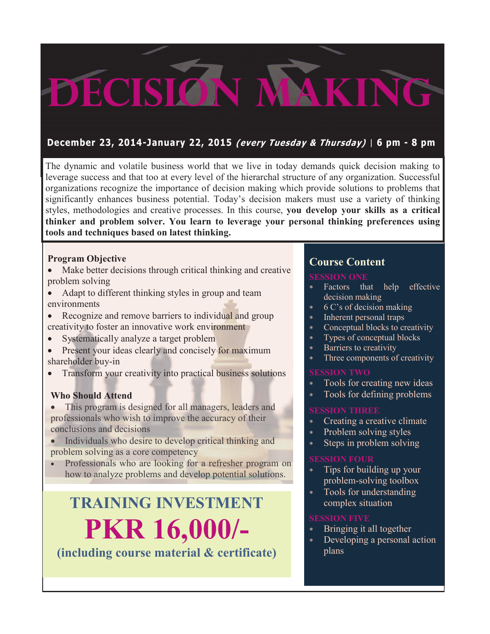# **Decision Making**

#### **December 23, 2014-January 22, 2015 (every Tuesday & Thursday) | 6 pm - 8 pm**

The dynamic and volatile business world that we live in today demands quick decision making to leverage success and that too at every level of the hierarchal structure of any organization. Successful organizations recognize the importance of decision making which provide solutions to problems that significantly enhances business potential. Today's decision makers must use a variety of thinking styles, methodologies and creative processes. In this course, **you develop your skills as a critical thinker and problem solver. You learn to leverage your personal thinking preferences using tools and techniques based on latest thinking.**

#### **Program Objective**

- Make better decisions through critical thinking and creative problem solving
- Adapt to different thinking styles in group and team environments
- Recognize and remove barriers to individual and group creativity to foster an innovative work environment
- Systematically analyze a target problem
- Present your ideas clearly and concisely for maximum shareholder buy-in
- Transform your creativity into practical business solutions

#### **Who Should Attend**

- This program is designed for all managers, leaders and professionals who wish to improve the accuracy of their conclusions and decisions
- Individuals who desire to develop critical thinking and problem solving as a core competency
- Professionals who are looking for a refresher program on how to analyze problems and develop potential solutions.

### **TRAINING INVESTMENT PKR 16,000/- (including course material & certificate)**

#### **Course Content**

#### **SESSION ONE**

- Factors that help effective decision making
- 6 C's of decision making
- \* Inherent personal traps
- Conceptual blocks to creativity
- Types of conceptual blocks
- Barriers to creativity
- Three components of creativity

#### **SESSION TWO**

- Tools for creating new ideas
- Tools for defining problems

#### **SESSION THREE**

- Creating a creative climate
- Problem solving styles
- Steps in problem solving

#### **SESSION FOUR**

- Tips for building up your problem-solving toolbox
- Tools for understanding complex situation

#### **SESSION FIVE**

- Bringing it all together
- Developing a personal action plans